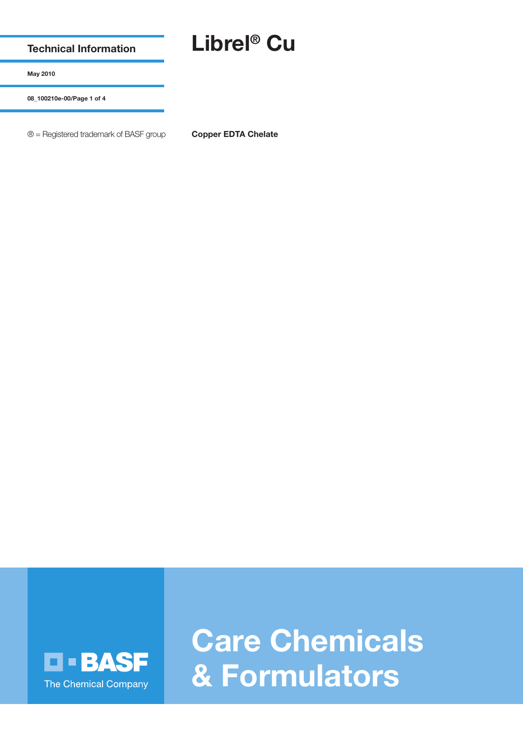**Technical Information**

## **Librel® Cu**

**May 2010**

**08\_100210e-00/Page 1 of 4**

® = Registered trademark of BASF group **Copper EDTA Chelate**



**Care Chemicals & Formulators**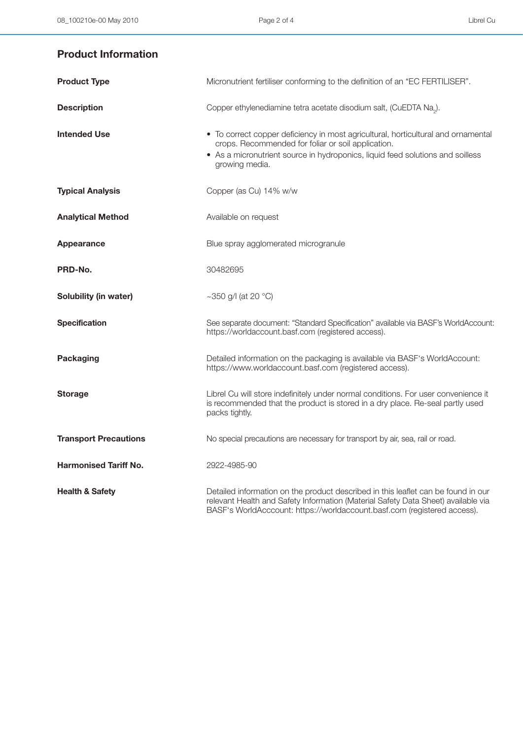## **Product Information**

| <b>Product Type</b>          | Micronutrient fertiliser conforming to the definition of an "EC FERTILISER".                                                                                                                                                                       |
|------------------------------|----------------------------------------------------------------------------------------------------------------------------------------------------------------------------------------------------------------------------------------------------|
| <b>Description</b>           | Copper ethylenediamine tetra acetate disodium salt, (CuEDTA Na <sub>2</sub> ).                                                                                                                                                                     |
| <b>Intended Use</b>          | • To correct copper deficiency in most agricultural, horticultural and ornamental<br>crops. Recommended for foliar or soil application.<br>• As a micronutrient source in hydroponics, liquid feed solutions and soilless<br>growing media.        |
| <b>Typical Analysis</b>      | Copper (as Cu) 14% w/w                                                                                                                                                                                                                             |
| <b>Analytical Method</b>     | Available on request                                                                                                                                                                                                                               |
| Appearance                   | Blue spray agglomerated microgranule                                                                                                                                                                                                               |
| PRD-No.                      | 30482695                                                                                                                                                                                                                                           |
| Solubility (in water)        | ~350 g/l (at 20 $^{\circ}$ C)                                                                                                                                                                                                                      |
| <b>Specification</b>         | See separate document: "Standard Specification" available via BASF's WorldAccount:<br>https://worldaccount.basf.com (registered access).                                                                                                           |
| <b>Packaging</b>             | Detailed information on the packaging is available via BASF's WorldAccount:<br>https://www.worldaccount.basf.com (registered access).                                                                                                              |
| <b>Storage</b>               | Librel Cu will store indefinitely under normal conditions. For user convenience it<br>is recommended that the product is stored in a dry place. Re-seal partly used<br>packs tightly.                                                              |
| <b>Transport Precautions</b> | No special precautions are necessary for transport by air, sea, rail or road.                                                                                                                                                                      |
| <b>Harmonised Tariff No.</b> | 2922-4985-90                                                                                                                                                                                                                                       |
| <b>Health &amp; Safety</b>   | Detailed information on the product described in this leaflet can be found in our<br>relevant Health and Safety Information (Material Safety Data Sheet) available via<br>BASF's WorldAcccount: https://worldaccount.basf.com (registered access). |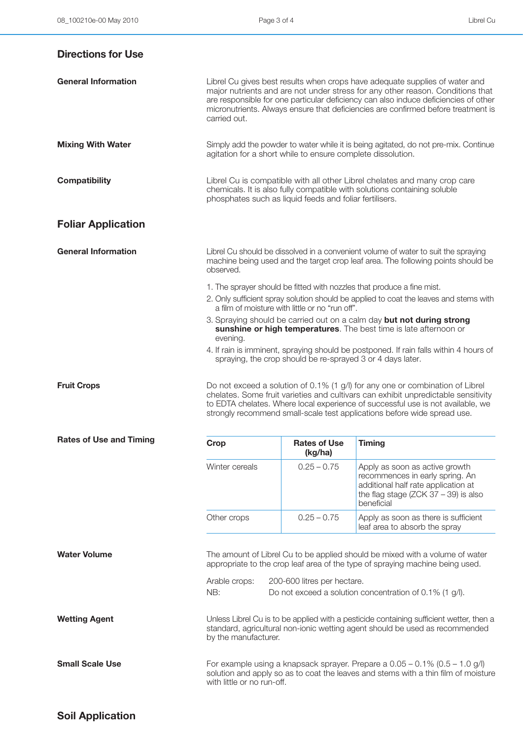| <b>Directions for Use</b>      |                                                                                                                                                                                     |                                                            |                                                                                                                                                                                                                                                                                                                                           |
|--------------------------------|-------------------------------------------------------------------------------------------------------------------------------------------------------------------------------------|------------------------------------------------------------|-------------------------------------------------------------------------------------------------------------------------------------------------------------------------------------------------------------------------------------------------------------------------------------------------------------------------------------------|
| <b>General Information</b>     | carried out.                                                                                                                                                                        |                                                            | Librel Cu gives best results when crops have adequate supplies of water and<br>major nutrients and are not under stress for any other reason. Conditions that<br>are responsible for one particular deficiency can also induce deficiencies of other<br>micronutrients. Always ensure that deficiencies are confirmed before treatment is |
| <b>Mixing With Water</b>       | agitation for a short while to ensure complete dissolution.                                                                                                                         |                                                            | Simply add the powder to water while it is being agitated, do not pre-mix. Continue                                                                                                                                                                                                                                                       |
| <b>Compatibility</b>           | phosphates such as liquid feeds and foliar fertilisers.                                                                                                                             |                                                            | Librel Cu is compatible with all other Librel chelates and many crop care<br>chemicals. It is also fully compatible with solutions containing soluble                                                                                                                                                                                     |
| <b>Foliar Application</b>      |                                                                                                                                                                                     |                                                            |                                                                                                                                                                                                                                                                                                                                           |
| <b>General Information</b>     | Librel Cu should be dissolved in a convenient volume of water to suit the spraying<br>machine being used and the target crop leaf area. The following points should be<br>observed. |                                                            |                                                                                                                                                                                                                                                                                                                                           |
|                                |                                                                                                                                                                                     | a film of moisture with little or no "run off".            | 1. The sprayer should be fitted with nozzles that produce a fine mist.<br>2. Only sufficient spray solution should be applied to coat the leaves and stems with                                                                                                                                                                           |
|                                | evening.                                                                                                                                                                            |                                                            | 3. Spraying should be carried out on a calm day but not during strong<br>sunshine or high temperatures. The best time is late afternoon or                                                                                                                                                                                                |
|                                |                                                                                                                                                                                     | spraying, the crop should be re-sprayed 3 or 4 days later. | 4. If rain is imminent, spraying should be postponed. If rain falls within 4 hours of                                                                                                                                                                                                                                                     |
| <b>Fruit Crops</b>             |                                                                                                                                                                                     |                                                            | Do not exceed a solution of 0.1% (1 g/l) for any one or combination of Librel<br>chelates. Some fruit varieties and cultivars can exhibit unpredictable sensitivity<br>to EDTA chelates. Where local experience of successful use is not available, we<br>strongly recommend small-scale test applications before wide spread use.        |
| <b>Rates of Use and Timing</b> | Crop                                                                                                                                                                                | <b>Rates of Use</b><br>(kg/ha)                             | <b>Timing</b>                                                                                                                                                                                                                                                                                                                             |
|                                | Winter cereals                                                                                                                                                                      | $0.25 - 0.75$                                              | Apply as soon as active growth<br>recommences in early spring. An<br>additional half rate application at<br>the flag stage (ZCK $37 - 39$ ) is also<br>beneficial                                                                                                                                                                         |

Other crops 0.25 – 0.75 Apply as soon as there is sufficient leaf area to absorb the spray

**Water Volume** The amount of Librel Cu to be applied should be mixed with a volume of water appropriate to the crop leaf area of the type of spraying machine being used.

> Arable crops: 200-600 litres per hectare. NB: Do not exceed a solution concentration of 0.1% (1 g/l).

Wetting Agent **Wetting Agent** Unless Librel Cu is to be applied with a pesticide containing sufficient wetter, then a standard, agricultural non-ionic wetting agent should be used as recommended by the manufacturer.

**Small Scale Use** For example using a knapsack sprayer. Prepare a  $0.05 - 0.1\%$  (0.5 – 1.0 g/l) solution and apply so as to coat the leaves and stems with a thin film of moisture with little or no run-off.